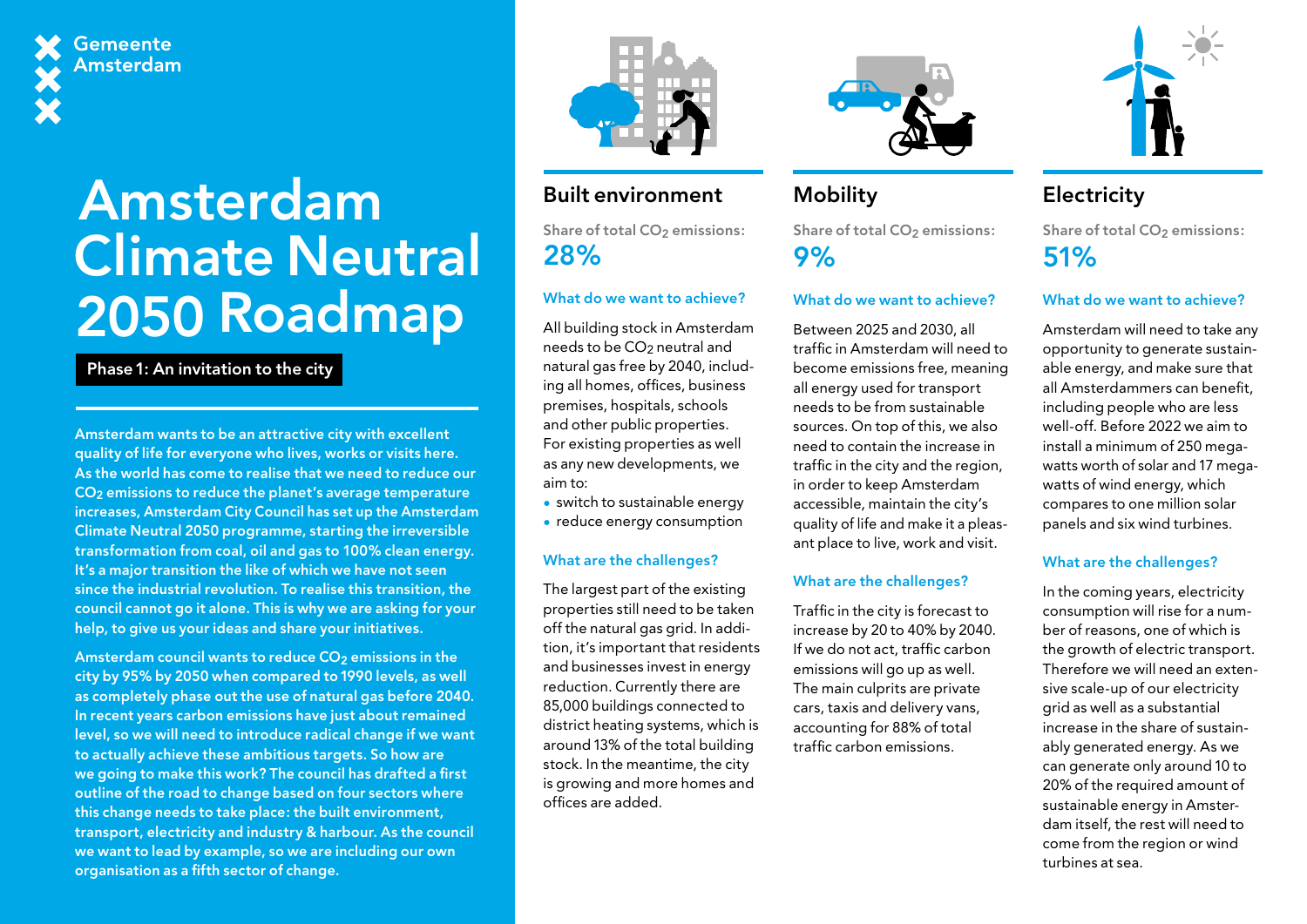**Gemeente** Amsterdam

# Amsterdam Climate Neutral 2050 Roadmap

Phase 1: An invitation to the city

Amsterdam wants to be an attractive city with excellent quality of life for everyone who lives, works or visits here. As the world has come to realise that we need to reduce our CO<sub>2</sub> emissions to reduce the planet's average temperature increases, Amsterdam City Council has set up the Amsterdam Climate Neutral 2050 programme, starting the irreversible transformation from coal, oil and gas to 100% clean energy. It's a major transition the like of which we have not seen since the industrial revolution. To realise this transition, the council cannot go it alone. This is why we are asking for your help, to give us your ideas and share your initiatives.

Amsterdam council wants to reduce CO<sub>2</sub> emissions in the city by 95% by 2050 when compared to 1990 levels, as well as completely phase out the use of natural gas before 2040. In recent years carbon emissions have just about remained level, so we will need to introduce radical change if we want to actually achieve these ambitious targets. So how are we going to make this work? The council has drafted a first outline of the road to change based on four sectors where this change needs to take place: the built environment, transport, electricity and industry & harbour. As the council we want to lead by example, so we are including our own organisation as a fifth sector of change.



## Built environment

Share of total CO<sub>2</sub> emissions: 28%

## What do we want to achieve?

All building stock in Amsterdam needs to be CO<sub>2</sub> neutral and natural gas free by 2040, including all homes, offices, business premises, hospitals, schools and other public properties. For existing properties as well as any new developments, we aim to:

- switch to sustainable energy
- reduce energy consumption

#### What are the challenges?

The largest part of the existing properties still need to be taken off the natural gas grid. In addition, it's important that residents and businesses invest in energy reduction. Currently there are 85,000 buildings connected to district heating systems, which is around 13% of the total building stock. In the meantime, the city is growing and more homes and offices are added.



# **Mobility**

Share of total CO<sub>2</sub> emissions: 9%

## What do we want to achieve?

Between 2025 and 2030, all traffic in Amsterdam will need to become emissions free, meaning all energy used for transport needs to be from sustainable sources. On top of this, we also need to contain the increase in traffic in the city and the region, in order to keep Amsterdam accessible, maintain the city's quality of life and make it a pleasant place to live, work and visit.

#### What are the challenges?

Traffic in the city is forecast to increase by 20 to 40% by 2040. If we do not act, traffic carbon emissions will go up as well. The main culprits are private cars, taxis and delivery vans, accounting for 88% of total traffic carbon emissions.



# **Electricity**

Share of total CO<sub>2</sub> emissions: 51%

#### What do we want to achieve?

Amsterdam will need to take any opportunity to generate sustainable energy, and make sure that all Amsterdammers can benefit, including people who are less well-off. Before 2022 we aim to install a minimum of 250 megawatts worth of solar and 17 megawatts of wind energy, which compares to one million solar panels and six wind turbines.

## What are the challenges?

In the coming years, electricity consumption will rise for a number of reasons, one of which is the growth of electric transport. Therefore we will need an extensive scale-up of our electricity grid as well as a substantial increase in the share of sustainably generated energy. As we can generate only around 10 to 20% of the required amount of sustainable energy in Amsterdam itself, the rest will need to come from the region or wind turbines at sea.